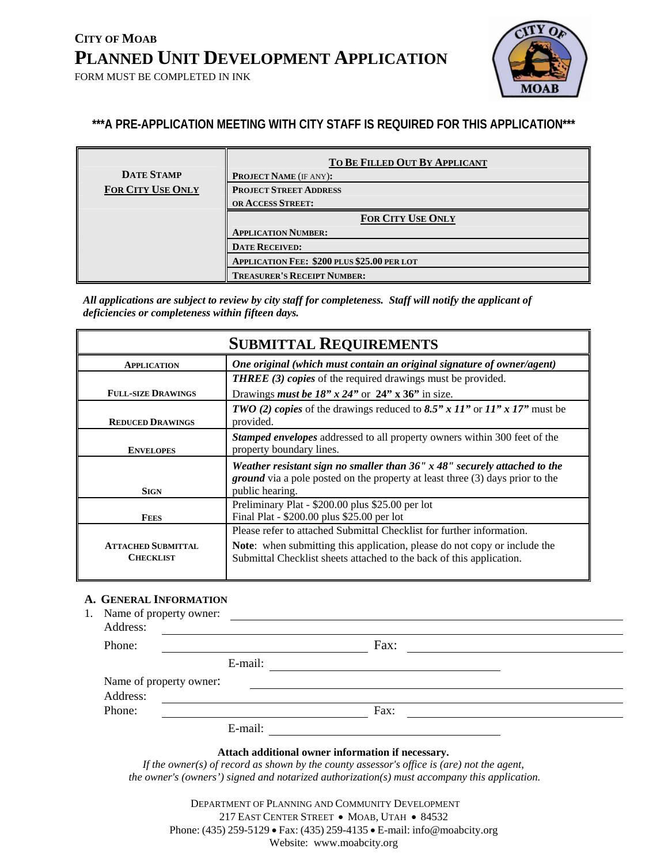FORM MUST BE COMPLETED IN INK



### **\*\*\*A PRE-APPLICATION MEETING WITH CITY STAFF IS REQUIRED FOR THIS APPLICATION\*\*\***

| <b>DATE STAMP</b>        | TO BE FILLED OUT BY APPLICANT               |  |  |  |
|--------------------------|---------------------------------------------|--|--|--|
|                          | <b>PROJECT NAME (IF ANY):</b>               |  |  |  |
| <b>FOR CITY USE ONLY</b> | <b>PROJECT STREET ADDRESS</b>               |  |  |  |
|                          | OR ACCESS STREET:                           |  |  |  |
|                          | <b>FOR CITY USE ONLY</b>                    |  |  |  |
|                          | <b>APPLICATION NUMBER:</b>                  |  |  |  |
|                          | <b>DATE RECEIVED:</b>                       |  |  |  |
|                          | APPLICATION FEE: \$200 PLUS \$25.00 PER LOT |  |  |  |
|                          | <b>TREASURER'S RECEIPT NUMBER:</b>          |  |  |  |

*All applications are subject to review by city staff for completeness. Staff will notify the applicant of deficiencies or completeness within fifteen days.* 

| <b>SUBMITTAL REQUIREMENTS</b>                                                                |                                                                                                                                                                                            |  |  |  |  |
|----------------------------------------------------------------------------------------------|--------------------------------------------------------------------------------------------------------------------------------------------------------------------------------------------|--|--|--|--|
| One original (which must contain an original signature of owner/agent)<br><b>APPLICATION</b> |                                                                                                                                                                                            |  |  |  |  |
|                                                                                              | <b>THREE</b> (3) copies of the required drawings must be provided.                                                                                                                         |  |  |  |  |
| <b>FULL-SIZE DRAWINGS</b>                                                                    | Drawings <i>must be 18" x 24"</i> or $24$ " x 36" in size.                                                                                                                                 |  |  |  |  |
| <b>REDUCED DRAWINGS</b>                                                                      | <b>TWO</b> (2) copies of the drawings reduced to 8.5" x 11" or $11"$ x 17" must be<br>provided.                                                                                            |  |  |  |  |
| <b>ENVELOPES</b>                                                                             | <b>Stamped envelopes</b> addressed to all property owners within 300 feet of the<br>property boundary lines.                                                                               |  |  |  |  |
| <b>SIGN</b>                                                                                  | Weather resistant sign no smaller than $36''$ x $48''$ securely attached to the<br><i>ground</i> via a pole posted on the property at least three (3) days prior to the<br>public hearing. |  |  |  |  |
|                                                                                              | Preliminary Plat - \$200.00 plus \$25.00 per lot                                                                                                                                           |  |  |  |  |
| Final Plat - \$200.00 plus \$25.00 per lot<br><b>FEES</b>                                    |                                                                                                                                                                                            |  |  |  |  |
|                                                                                              | Please refer to attached Submittal Checklist for further information.                                                                                                                      |  |  |  |  |
| <b>ATTACHED SUBMITTAL</b><br><b>CHECKLIST</b>                                                | <b>Note:</b> when submitting this application, please do not copy or include the<br>Submittal Checklist sheets attached to the back of this application.                                   |  |  |  |  |

#### **A. GENERAL INFORMATION**

1. Name of property owner:

| Address:                |         |      |  |
|-------------------------|---------|------|--|
| Phone:                  |         | Fax: |  |
|                         | E-mail: |      |  |
| Name of property owner: |         |      |  |
| Address:                |         |      |  |
| Phone:                  |         | Fax: |  |
|                         | E-mail: |      |  |

#### **Attach additional owner information if necessary.**

*If the owner(s) of record as shown by the county assessor's office is (are) not the agent, the owner's (owners') signed and notarized authorization(s) must accompany this application.* 

 DEPARTMENT OF PLANNING AND COMMUNITY DEVELOPMENT 217 EAST CENTER STREET • MOAB, UTAH • 84532 Phone: (435) 259-5129 • Fax: (435) 259-4135 • E-mail: info@moabcity.org Website: www.moabcity.org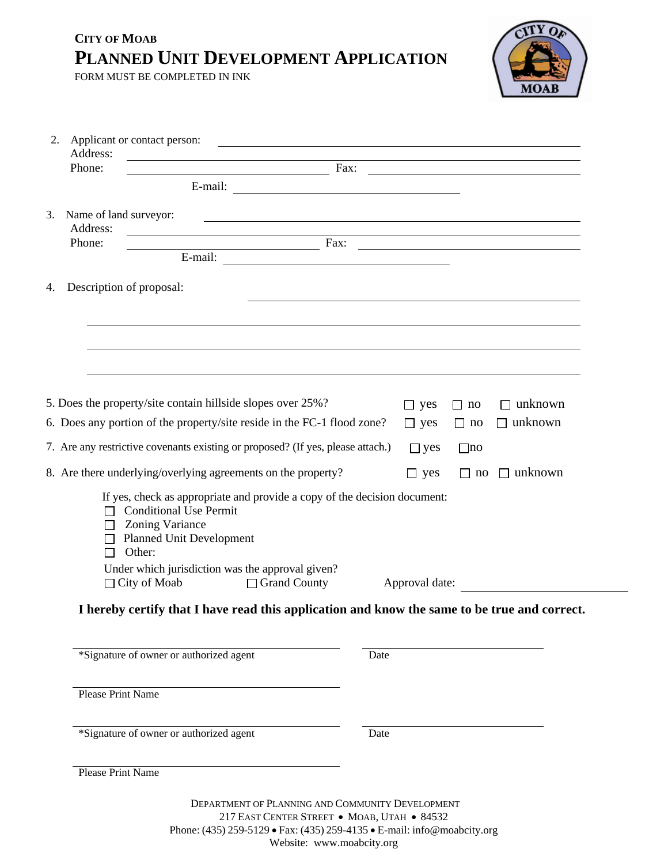FORM MUST BE COMPLETED IN INK



| Phone:<br>$\frac{1}{2}$ Fax:<br>E-mail:<br>Name of land surveyor:<br><u> 1989 - Johann Stoff, deutscher Stoff, der Stoff, der Stoff, der Stoff, der Stoff, der Stoff, der Stoff, der S</u><br>Address:<br><u> 1989 - Johann Stoff, amerikansk politiker (d. 1989)</u><br>Phone:<br>$\frac{1}{2}$ Fax:<br>E-mail: $\overline{\phantom{a}}$<br>Description of proposal:<br>5. Does the property/site contain hillside slopes over 25%?<br>$\Box$ unknown<br>$\Box$ yes<br>no<br>6. Does any portion of the property/site reside in the FC-1 flood zone?<br>unknown<br>$\Box$ yes<br>$\Box$ no<br>$\mathsf{L}$<br>7. Are any restrictive covenants existing or proposed? (If yes, please attach.)<br>$\Box$ yes<br>$\Box$ no<br>8. Are there underlying/overlying agreements on the property?<br>$\Box$ unknown<br>$\Box$ yes<br>$\Box$ no<br>If yes, check as appropriate and provide a copy of the decision document:<br><b>Conditional Use Permit</b><br>$\mathsf{L}$<br><b>Zoning Variance</b><br>П<br><b>Planned Unit Development</b><br>Other:<br>Under which jurisdiction was the approval given?<br>$\Box$ City of Moab<br>□ Grand County<br>Approval date:<br>I hereby certify that I have read this application and know the same to be true and correct.<br>*Signature of owner or authorized agent<br>Date<br><b>Please Print Name</b><br>*Signature of owner or authorized agent<br>Date<br><b>Please Print Name</b> | 2.<br>Address: | Applicant or contact person: | <u> 1989 - Jan Sterlinger, skrivatsk politik (d. 1989)</u> |  |  |
|--------------------------------------------------------------------------------------------------------------------------------------------------------------------------------------------------------------------------------------------------------------------------------------------------------------------------------------------------------------------------------------------------------------------------------------------------------------------------------------------------------------------------------------------------------------------------------------------------------------------------------------------------------------------------------------------------------------------------------------------------------------------------------------------------------------------------------------------------------------------------------------------------------------------------------------------------------------------------------------------------------------------------------------------------------------------------------------------------------------------------------------------------------------------------------------------------------------------------------------------------------------------------------------------------------------------------------------------------------------------------------------------------------------------------------|----------------|------------------------------|------------------------------------------------------------|--|--|
|                                                                                                                                                                                                                                                                                                                                                                                                                                                                                                                                                                                                                                                                                                                                                                                                                                                                                                                                                                                                                                                                                                                                                                                                                                                                                                                                                                                                                                |                |                              |                                                            |  |  |
|                                                                                                                                                                                                                                                                                                                                                                                                                                                                                                                                                                                                                                                                                                                                                                                                                                                                                                                                                                                                                                                                                                                                                                                                                                                                                                                                                                                                                                |                |                              |                                                            |  |  |
|                                                                                                                                                                                                                                                                                                                                                                                                                                                                                                                                                                                                                                                                                                                                                                                                                                                                                                                                                                                                                                                                                                                                                                                                                                                                                                                                                                                                                                | 3.             |                              |                                                            |  |  |
|                                                                                                                                                                                                                                                                                                                                                                                                                                                                                                                                                                                                                                                                                                                                                                                                                                                                                                                                                                                                                                                                                                                                                                                                                                                                                                                                                                                                                                |                |                              |                                                            |  |  |
|                                                                                                                                                                                                                                                                                                                                                                                                                                                                                                                                                                                                                                                                                                                                                                                                                                                                                                                                                                                                                                                                                                                                                                                                                                                                                                                                                                                                                                |                |                              |                                                            |  |  |
|                                                                                                                                                                                                                                                                                                                                                                                                                                                                                                                                                                                                                                                                                                                                                                                                                                                                                                                                                                                                                                                                                                                                                                                                                                                                                                                                                                                                                                | 4.             |                              |                                                            |  |  |
|                                                                                                                                                                                                                                                                                                                                                                                                                                                                                                                                                                                                                                                                                                                                                                                                                                                                                                                                                                                                                                                                                                                                                                                                                                                                                                                                                                                                                                |                |                              |                                                            |  |  |
|                                                                                                                                                                                                                                                                                                                                                                                                                                                                                                                                                                                                                                                                                                                                                                                                                                                                                                                                                                                                                                                                                                                                                                                                                                                                                                                                                                                                                                |                |                              |                                                            |  |  |
|                                                                                                                                                                                                                                                                                                                                                                                                                                                                                                                                                                                                                                                                                                                                                                                                                                                                                                                                                                                                                                                                                                                                                                                                                                                                                                                                                                                                                                |                |                              |                                                            |  |  |
|                                                                                                                                                                                                                                                                                                                                                                                                                                                                                                                                                                                                                                                                                                                                                                                                                                                                                                                                                                                                                                                                                                                                                                                                                                                                                                                                                                                                                                |                |                              |                                                            |  |  |
|                                                                                                                                                                                                                                                                                                                                                                                                                                                                                                                                                                                                                                                                                                                                                                                                                                                                                                                                                                                                                                                                                                                                                                                                                                                                                                                                                                                                                                |                |                              |                                                            |  |  |
|                                                                                                                                                                                                                                                                                                                                                                                                                                                                                                                                                                                                                                                                                                                                                                                                                                                                                                                                                                                                                                                                                                                                                                                                                                                                                                                                                                                                                                |                |                              |                                                            |  |  |
|                                                                                                                                                                                                                                                                                                                                                                                                                                                                                                                                                                                                                                                                                                                                                                                                                                                                                                                                                                                                                                                                                                                                                                                                                                                                                                                                                                                                                                |                |                              |                                                            |  |  |
|                                                                                                                                                                                                                                                                                                                                                                                                                                                                                                                                                                                                                                                                                                                                                                                                                                                                                                                                                                                                                                                                                                                                                                                                                                                                                                                                                                                                                                |                |                              |                                                            |  |  |
|                                                                                                                                                                                                                                                                                                                                                                                                                                                                                                                                                                                                                                                                                                                                                                                                                                                                                                                                                                                                                                                                                                                                                                                                                                                                                                                                                                                                                                |                |                              |                                                            |  |  |
|                                                                                                                                                                                                                                                                                                                                                                                                                                                                                                                                                                                                                                                                                                                                                                                                                                                                                                                                                                                                                                                                                                                                                                                                                                                                                                                                                                                                                                |                |                              |                                                            |  |  |
|                                                                                                                                                                                                                                                                                                                                                                                                                                                                                                                                                                                                                                                                                                                                                                                                                                                                                                                                                                                                                                                                                                                                                                                                                                                                                                                                                                                                                                |                |                              |                                                            |  |  |
|                                                                                                                                                                                                                                                                                                                                                                                                                                                                                                                                                                                                                                                                                                                                                                                                                                                                                                                                                                                                                                                                                                                                                                                                                                                                                                                                                                                                                                |                |                              |                                                            |  |  |
|                                                                                                                                                                                                                                                                                                                                                                                                                                                                                                                                                                                                                                                                                                                                                                                                                                                                                                                                                                                                                                                                                                                                                                                                                                                                                                                                                                                                                                |                |                              |                                                            |  |  |
|                                                                                                                                                                                                                                                                                                                                                                                                                                                                                                                                                                                                                                                                                                                                                                                                                                                                                                                                                                                                                                                                                                                                                                                                                                                                                                                                                                                                                                |                |                              |                                                            |  |  |
|                                                                                                                                                                                                                                                                                                                                                                                                                                                                                                                                                                                                                                                                                                                                                                                                                                                                                                                                                                                                                                                                                                                                                                                                                                                                                                                                                                                                                                |                |                              |                                                            |  |  |
|                                                                                                                                                                                                                                                                                                                                                                                                                                                                                                                                                                                                                                                                                                                                                                                                                                                                                                                                                                                                                                                                                                                                                                                                                                                                                                                                                                                                                                |                |                              |                                                            |  |  |
|                                                                                                                                                                                                                                                                                                                                                                                                                                                                                                                                                                                                                                                                                                                                                                                                                                                                                                                                                                                                                                                                                                                                                                                                                                                                                                                                                                                                                                |                |                              |                                                            |  |  |
| DEPARTMENT OF PLANNING AND COMMUNITY DEVELOPMENT                                                                                                                                                                                                                                                                                                                                                                                                                                                                                                                                                                                                                                                                                                                                                                                                                                                                                                                                                                                                                                                                                                                                                                                                                                                                                                                                                                               |                |                              |                                                            |  |  |

217 EAST CENTER STREET • MOAB, UTAH • 84532 Phone: (435) 259-5129 • Fax: (435) 259-4135 • E-mail: info@moabcity.org Website: www.moabcity.org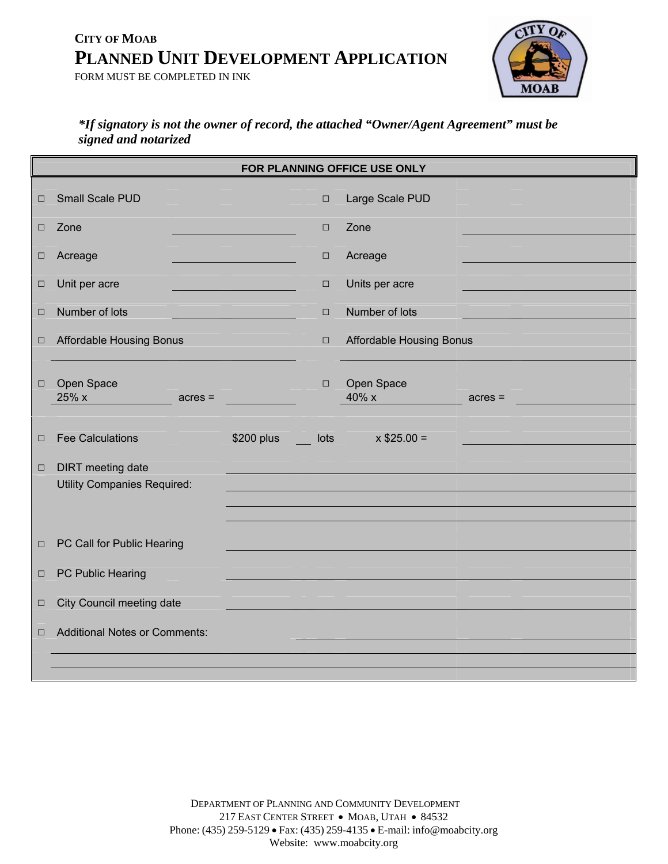FORM MUST BE COMPLETED IN INK



### *\*If signatory is not the owner of record, the attached "Owner/Agent Agreement" must be signed and notarized*

|        | FOR PLANNING OFFICE USE ONLY         |                    |        |                                 |           |  |
|--------|--------------------------------------|--------------------|--------|---------------------------------|-----------|--|
| $\Box$ | Small Scale PUD                      |                    | $\Box$ | Large Scale PUD                 |           |  |
| $\Box$ | Zone                                 |                    | $\Box$ | Zone                            |           |  |
| $\Box$ | Acreage                              |                    | $\Box$ | Acreage                         |           |  |
| $\Box$ | Unit per acre                        |                    | $\Box$ | Units per acre                  |           |  |
| $\Box$ | Number of lots                       |                    | $\Box$ | Number of lots                  |           |  |
| $\Box$ | <b>Affordable Housing Bonus</b>      |                    | $\Box$ | <b>Affordable Housing Bonus</b> |           |  |
| $\Box$ | Open Space<br>$25\%$ x<br>$acres =$  |                    | $\Box$ | Open Space<br>$40\%$ x          | $acres =$ |  |
| $\Box$ | <b>Fee Calculations</b>              | \$200 plus<br>a si | lots   | $x $25.00 =$                    |           |  |
| $\Box$ | <b>DIRT</b> meeting date             |                    |        |                                 |           |  |
|        | <b>Utility Companies Required:</b>   |                    |        |                                 |           |  |
|        |                                      |                    |        |                                 |           |  |
| $\Box$ | PC Call for Public Hearing           |                    |        |                                 |           |  |
| $\Box$ | PC Public Hearing                    |                    |        |                                 |           |  |
|        |                                      |                    |        |                                 |           |  |
| $\Box$ | City Council meeting date            |                    |        |                                 |           |  |
| $\Box$ | <b>Additional Notes or Comments:</b> |                    |        |                                 |           |  |
|        |                                      |                    |        |                                 |           |  |
|        |                                      |                    |        |                                 |           |  |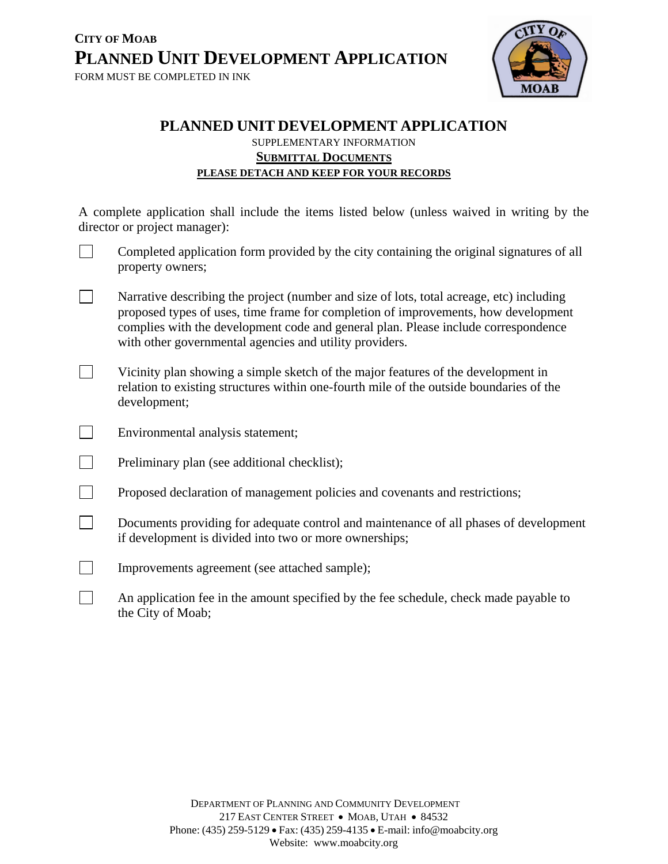

### **PLANNED UNIT DEVELOPMENT APPLICATION**  SUPPLEMENTARY INFORMATION **SUBMITTAL DOCUMENTS PLEASE DETACH AND KEEP FOR YOUR RECORDS**

A complete application shall include the items listed below (unless waived in writing by the director or project manager):

- Completed application form provided by the city containing the original signatures of all property owners;
- Narrative describing the project (number and size of lots, total acreage, etc) including proposed types of uses, time frame for completion of improvements, how development complies with the development code and general plan. Please include correspondence with other governmental agencies and utility providers.
- Vicinity plan showing a simple sketch of the major features of the development in relation to existing structures within one-fourth mile of the outside boundaries of the development;
- Environmental analysis statement;
- $\Box$  Preliminary plan (see additional checklist);
- $\Box$  Proposed declaration of management policies and covenants and restrictions;
- Documents providing for adequate control and maintenance of all phases of development if development is divided into two or more ownerships;
- Improvements agreement (see attached sample);
- An application fee in the amount specified by the fee schedule, check made payable to the City of Moab;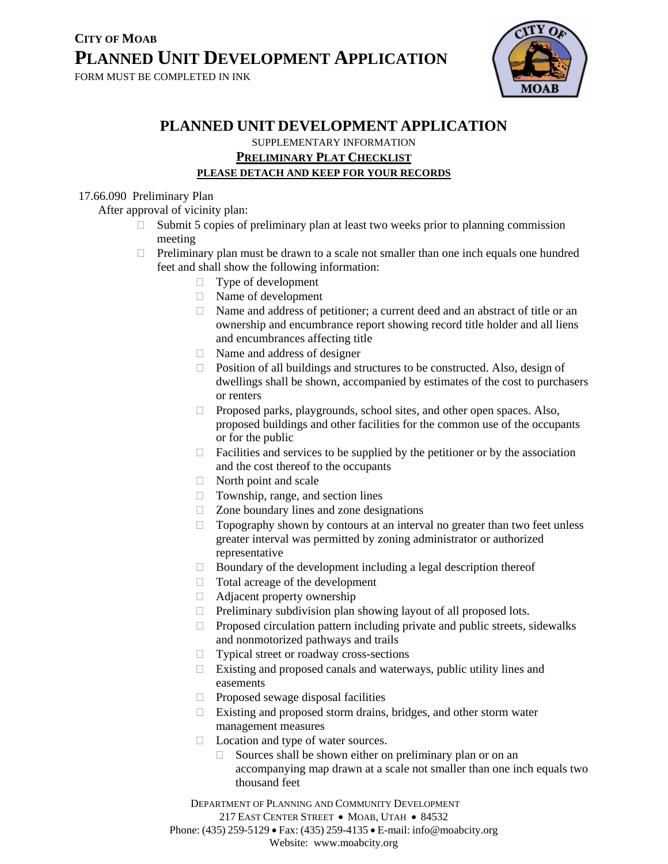

## **PLANNED UNIT DEVELOPMENT APPLICATION**

SUPPLEMENTARY INFORMATION **PRELIMINARY PLAT CHECKLIST**

## **PLEASE DETACH AND KEEP FOR YOUR RECORDS**

#### 17.66.090 Preliminary Plan

After approval of vicinity plan:

- $\Box$  Submit 5 copies of preliminary plan at least two weeks prior to planning commission meeting
- $\Box$  Preliminary plan must be drawn to a scale not smaller than one inch equals one hundred feet and shall show the following information:
	- □ Type of development
	- Name of development
	- Name and address of petitioner; a current deed and an abstract of title or an ownership and encumbrance report showing record title holder and all liens and encumbrances affecting title
	- $\Box$  Name and address of designer
	- $\Box$  Position of all buildings and structures to be constructed. Also, design of dwellings shall be shown, accompanied by estimates of the cost to purchasers or renters
	- □ Proposed parks, playgrounds, school sites, and other open spaces. Also, proposed buildings and other facilities for the common use of the occupants or for the public
	- $\Box$  Facilities and services to be supplied by the petitioner or by the association and the cost thereof to the occupants
	- North point and scale
	- □ Township, range, and section lines
	- $\Box$  Zone boundary lines and zone designations
	- $\Box$  Topography shown by contours at an interval no greater than two feet unless greater interval was permitted by zoning administrator or authorized representative
	- $\Box$  Boundary of the development including a legal description thereof
	- □ Total acreage of the development
	- Adjacent property ownership
	- $\Box$  Preliminary subdivision plan showing layout of all proposed lots.
	- $\Box$  Proposed circulation pattern including private and public streets, sidewalks and nonmotorized pathways and trails
	- □ Typical street or roadway cross-sections
	- $\Box$  Existing and proposed canals and waterways, public utility lines and easements
	- $\Box$  Proposed sewage disposal facilities
	- Existing and proposed storm drains, bridges, and other storm water management measures
	- □ Location and type of water sources.
		- $\Box$  Sources shall be shown either on preliminary plan or on an accompanying map drawn at a scale not smaller than one inch equals two thousand feet

DEPARTMENT OF PLANNING AND COMMUNITY DEVELOPMENT

217 EAST CENTER STREET • MOAB, UTAH • 84532

Phone: (435) 259-5129 • Fax: (435) 259-4135 • E-mail: info@moabcity.org

Website: www.moabcity.org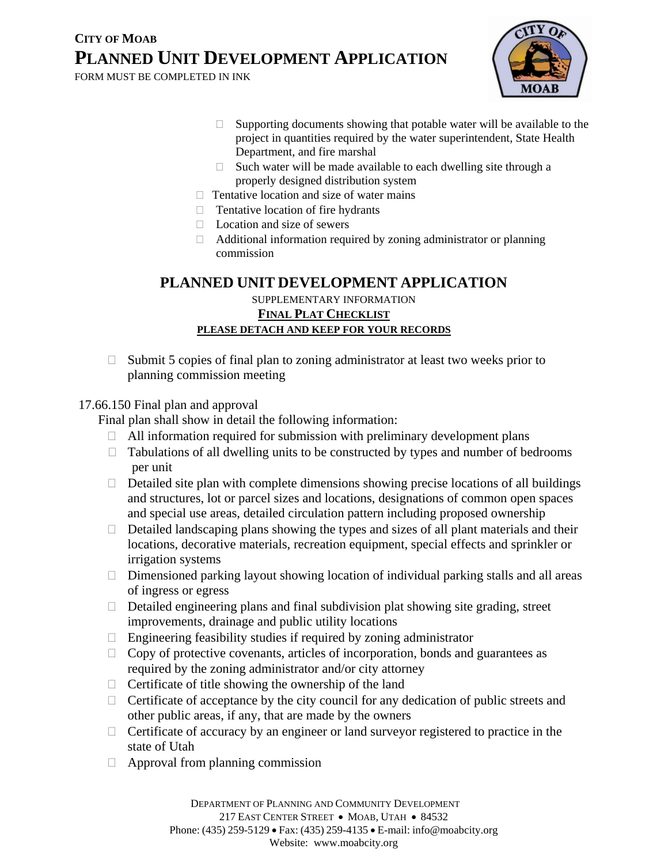FORM MUST BE COMPLETED IN INK



- $\Box$  Supporting documents showing that potable water will be available to the project in quantities required by the water superintendent, State Health Department, and fire marshal
- $\Box$  Such water will be made available to each dwelling site through a properly designed distribution system
- $\Box$  Tentative location and size of water mains
- $\Box$  Tentative location of fire hydrants
- $\Box$  Location and size of sewers
- $\Box$  Additional information required by zoning administrator or planning commission

### **PLANNED UNIT DEVELOPMENT APPLICATION**

SUPPLEMENTARY INFORMATION **FINAL PLAT CHECKLIST PLEASE DETACH AND KEEP FOR YOUR RECORDS**

 $\Box$  Submit 5 copies of final plan to zoning administrator at least two weeks prior to planning commission meeting

### 17.66.150 Final plan and approval

Final plan shall show in detail the following information:

- $\Box$  All information required for submission with preliminary development plans
- $\Box$  Tabulations of all dwelling units to be constructed by types and number of bedrooms per unit
- $\Box$  Detailed site plan with complete dimensions showing precise locations of all buildings and structures, lot or parcel sizes and locations, designations of common open spaces and special use areas, detailed circulation pattern including proposed ownership
- $\Box$  Detailed landscaping plans showing the types and sizes of all plant materials and their locations, decorative materials, recreation equipment, special effects and sprinkler or irrigation systems
- $\Box$  Dimensioned parking layout showing location of individual parking stalls and all areas of ingress or egress
- $\Box$  Detailed engineering plans and final subdivision plat showing site grading, street improvements, drainage and public utility locations
- $\Box$  Engineering feasibility studies if required by zoning administrator
- $\Box$  Copy of protective covenants, articles of incorporation, bonds and guarantees as required by the zoning administrator and/or city attorney
- $\Box$  Certificate of title showing the ownership of the land
- $\Box$  Certificate of acceptance by the city council for any dedication of public streets and other public areas, if any, that are made by the owners
- $\Box$  Certificate of accuracy by an engineer or land surveyor registered to practice in the state of Utah
- $\Box$  Approval from planning commission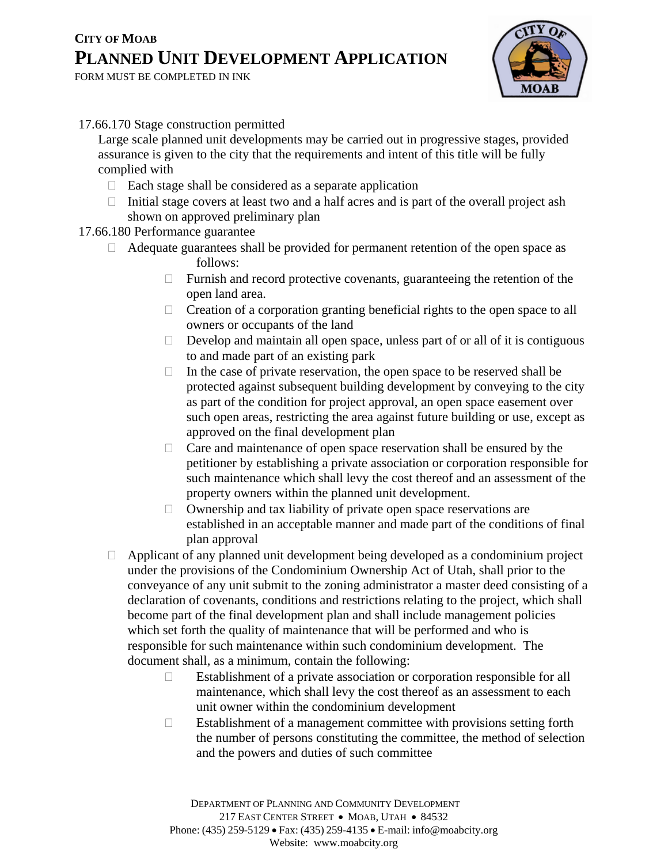FORM MUST BE COMPLETED IN INK



#### 17.66.170 Stage construction permitted

 Large scale planned unit developments may be carried out in progressive stages, provided assurance is given to the city that the requirements and intent of this title will be fully complied with

- $\Box$  Each stage shall be considered as a separate application
- $\Box$  Initial stage covers at least two and a half acres and is part of the overall project ash shown on approved preliminary plan

### 17.66.180 Performance guarantee

- Adequate guarantees shall be provided for permanent retention of the open space as follows:
	- $\Box$  Furnish and record protective covenants, guaranteeing the retention of the open land area.
	- $\Box$  Creation of a corporation granting beneficial rights to the open space to all owners or occupants of the land
	- $\Box$  Develop and maintain all open space, unless part of or all of it is contiguous to and made part of an existing park
	- $\Box$  In the case of private reservation, the open space to be reserved shall be protected against subsequent building development by conveying to the city as part of the condition for project approval, an open space easement over such open areas, restricting the area against future building or use, except as approved on the final development plan
	- $\Box$  Care and maintenance of open space reservation shall be ensured by the petitioner by establishing a private association or corporation responsible for such maintenance which shall levy the cost thereof and an assessment of the property owners within the planned unit development.
	- $\Box$  Ownership and tax liability of private open space reservations are established in an acceptable manner and made part of the conditions of final plan approval
- $\Box$  Applicant of any planned unit development being developed as a condominium project under the provisions of the Condominium Ownership Act of Utah, shall prior to the conveyance of any unit submit to the zoning administrator a master deed consisting of a declaration of covenants, conditions and restrictions relating to the project, which shall become part of the final development plan and shall include management policies which set forth the quality of maintenance that will be performed and who is responsible for such maintenance within such condominium development. The document shall, as a minimum, contain the following:
	- Establishment of a private association or corporation responsible for all maintenance, which shall levy the cost thereof as an assessment to each unit owner within the condominium development
	- $\Box$  Establishment of a management committee with provisions setting forth the number of persons constituting the committee, the method of selection and the powers and duties of such committee